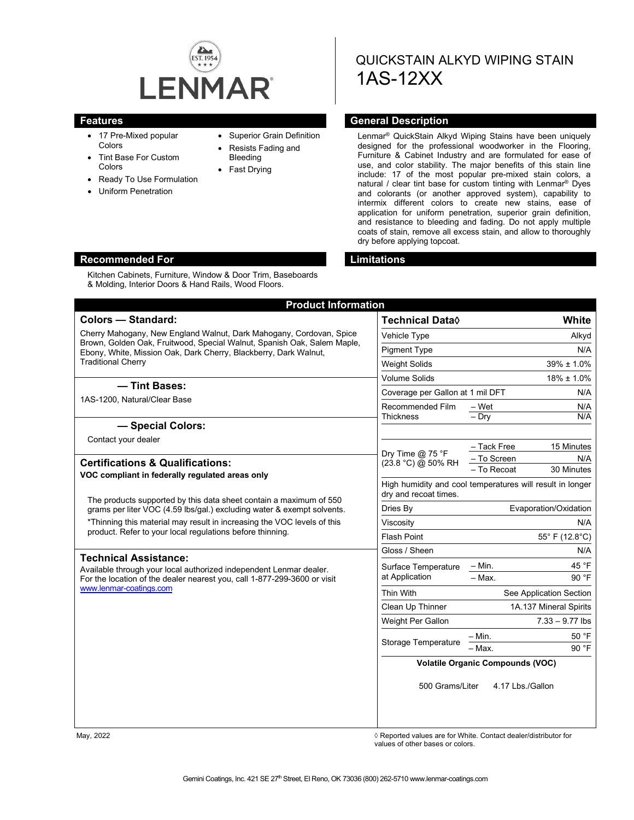

Kitchen Cabinets, Furniture, Window & Door Trim, Baseboards & Molding, Interior Doors & Hand Rails, Wood Floors.

- 17 Pre-Mixed popular **Colors**
- Tint Base For Custom Colors
- Ready To Use Formulation
- Uniform Penetration
- Superior Grain Definition
- Resists Fading and Bleeding
- Fast Drying

# QUICKSTAIN ALKYD WIPING STAIN 1AS-12XX

#### **Features General Description**

Lenmar® QuickStain Alkyd Wiping Stains have been uniquely designed for the professional woodworker in the Flooring, Furniture & Cabinet Industry and are formulated for ease of use, and color stability. The major benefits of this stain line include: 17 of the most popular pre-mixed stain colors, a natural / clear tint base for custom tinting with Lenmar® Dyes and colorants (or another approved system), capability to intermix different colors to create new stains, ease of application for uniform penetration, superior grain definition, and resistance to bleeding and fading. Do not apply multiple coats of stain, remove all excess stain, and allow to thoroughly dry before applying topcoat.

#### **Recommended For Limitations**

#### **Product Information Colors — Standard:** Cherry Mahogany, New England Walnut, Dark Mahogany, Cordovan, Spice Brown, Golden Oak, Fruitwood, Special Walnut, Spanish Oak, Salem Maple, Ebony, White, Mission Oak, Dark Cherry, Blackberry, Dark Walnut, Traditional Cherry **Technical Data**◊ **White** Vehicle Type **Alkyd** Pigment Type N/A Weight Solids 39% ± 1.0% Volume Solids 18% ± 1.0% Coverage per Gallon at 1 mil DFT N/A Recommended Film **Thickness** – Wet N/A – Dry N/A Dry Time @ 75 °F  $(23.8 °C) @ 50% RH$ – Tack Free 15 Minutes To Screen N/A – To Recoat 30 Minutes High humidity and cool temperatures will result in longer dry and recoat times. Dries By **Evaporation/Oxidation** Viscosity **N/A** Flash Point 55° F (12.8°C) Gloss / Sheen N/A Surface Temperature at Application  $-$  Min. 45 °F  $-$  Max. 90 °F Thin With See Application Section Clean Up Thinner 1A.137 Mineral Spirits Weight Per Gallon 7.33 – 9.77 lbs Storage Temperature  $\frac{-\text{Min.}}{-\text{Max.}}$  50 °F – Max. **Volatile Organic Compounds (VOC)** 500 Grams/Liter 4.17 Lbs./Gallon **— Tint Bases:** 1AS-1200, Natural/Clear Base **— Special Colors:** Contact your dealer **Certifications & Qualifications: VOC compliant in federally regulated areas only** The products supported by this data sheet contain a maximum of 550 grams per liter VOC (4.59 lbs/gal.) excluding water & exempt solvents. \*Thinning this material may result in increasing the VOC levels of this product. Refer to your local regulations before thinning. **Technical Assistance:** Available through your local authorized independent Lenmar dealer. For the location of the dealer nearest you, call 1-877-299-3600 or visit [www.lenmar-coatings.com](http://www.lenmar-coatings.com/)

May, 2022 ◊ Reported values are for White. Contact dealer/distributor for values of other bases or colors.